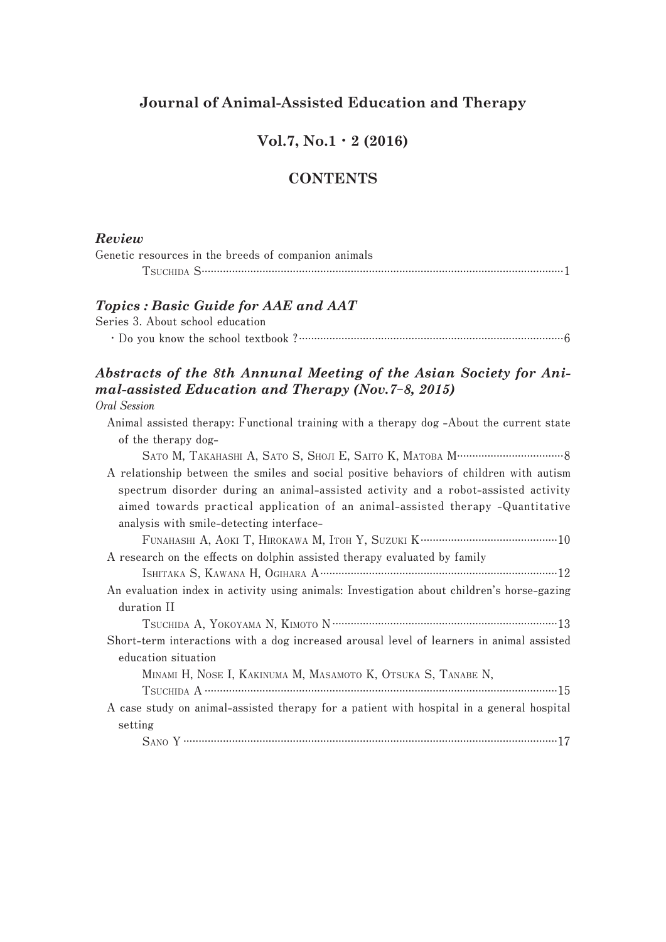### **Journal of Animal-Assisted Education and Therapy**

# **Vol.7, No.1**・**2 (2016)**

### **CONTENTS**

#### *Review*

| Genetic resources in the breeds of companion animals |
|------------------------------------------------------|
|                                                      |

#### *Topics : Basic Guide for AAE and AAT*

**Series 3. About school education ・Do you know the school textbook ?.......................................................................................6**

# *Abstracts of the 8th Annunal Meeting of the Asian Society for Animal-assisted Education and Therapy (Nov.7***-***8, 2015)*

#### **Oral Session**

| Animal assisted therapy: Functional training with a therapy dog-About the current state    |  |  |
|--------------------------------------------------------------------------------------------|--|--|
| of the therapy dog-                                                                        |  |  |
|                                                                                            |  |  |
| A relationship between the smiles and social positive behaviors of children with autism    |  |  |
| spectrum disorder during an animal-assisted activity and a robot-assisted activity         |  |  |
| aimed towards practical application of an animal-assisted therapy -Quantitative            |  |  |
| analysis with smile-detecting interface-                                                   |  |  |
|                                                                                            |  |  |
| A research on the effects on dolphin assisted therapy evaluated by family                  |  |  |
|                                                                                            |  |  |
| An evaluation index in activity using animals: Investigation about children's horse-gazing |  |  |
| duration II                                                                                |  |  |
|                                                                                            |  |  |
| Short-term interactions with a dog increased arousal level of learners in animal assisted  |  |  |
| education situation                                                                        |  |  |
| MINAMI H, NOSE I, KAKINUMA M, MASAMOTO K, OTSUKA S, TANABE N,                              |  |  |
|                                                                                            |  |  |
| A case study on animal-assisted therapy for a patient with hospital in a general hospital  |  |  |
| setting                                                                                    |  |  |
|                                                                                            |  |  |